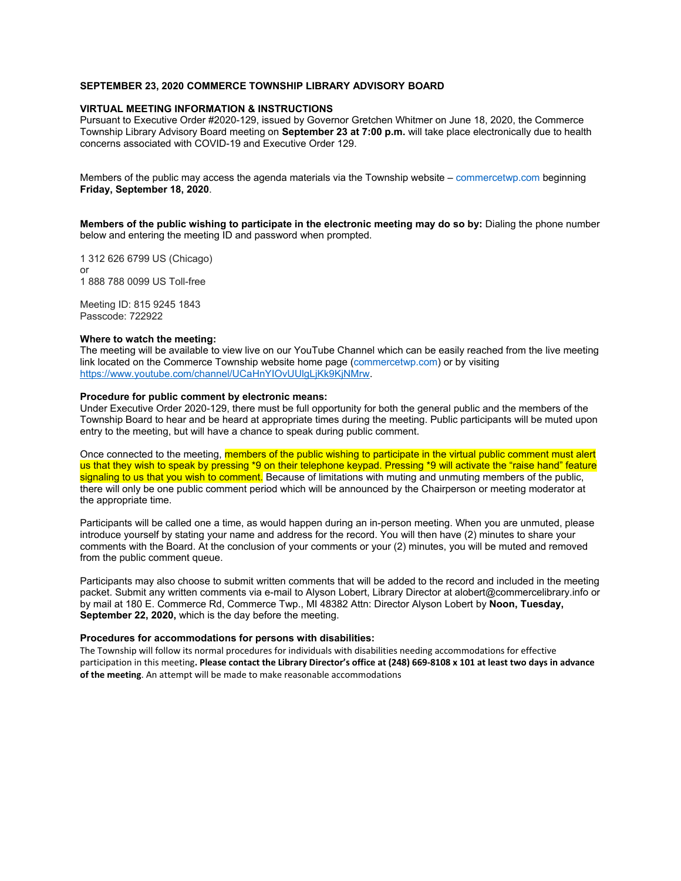## **SEPTEMBER 23, 2020 COMMERCE TOWNSHIP LIBRARY ADVISORY BOARD**

### **VIRTUAL MEETING INFORMATION & INSTRUCTIONS**

Pursuant to Executive Order #2020-129, issued by Governor Gretchen Whitmer on June 18, 2020, the Commerce Township Library Advisory Board meeting on **September 23 at 7:00 p.m.** will take place electronically due to health concerns associated with COVID-19 and Executive Order 129.

Members of the public may access the agenda materials via the Township website – commercetwp.com beginning **Friday, September 18, 2020**.

**Members of the public wishing to participate in the electronic meeting may do so by:** Dialing the phone number below and entering the meeting ID and password when prompted.

1 312 626 6799 US (Chicago) or 1 888 788 0099 US Toll-free

Meeting ID: 815 9245 1843 Passcode: 722922

#### **Where to watch the meeting:**

The meeting will be available to view live on our YouTube Channel which can be easily reached from the live meeting link located on the Commerce Township website home page (commercetwp.com) or by visiting https://www.youtube.com/channel/UCaHnYIOvUUlgLjKk9KjNMrw.

## **Procedure for public comment by electronic means:**

Under Executive Order 2020-129, there must be full opportunity for both the general public and the members of the Township Board to hear and be heard at appropriate times during the meeting. Public participants will be muted upon entry to the meeting, but will have a chance to speak during public comment.

Once connected to the meeting, members of the public wishing to participate in the virtual public comment must alert us that they wish to speak by pressing \*9 on their telephone keypad. Pressing \*9 will activate the "raise hand" feature signaling to us that you wish to comment. Because of limitations with muting and unmuting members of the public, there will only be one public comment period which will be announced by the Chairperson or meeting moderator at the appropriate time.

Participants will be called one a time, as would happen during an in-person meeting. When you are unmuted, please introduce yourself by stating your name and address for the record. You will then have (2) minutes to share your comments with the Board. At the conclusion of your comments or your (2) minutes, you will be muted and removed from the public comment queue.

Participants may also choose to submit written comments that will be added to the record and included in the meeting packet. Submit any written comments via e-mail to Alyson Lobert, Library Director at alobert@commercelibrary.info or by mail at 180 E. Commerce Rd, Commerce Twp., MI 48382 Attn: Director Alyson Lobert by **Noon, Tuesday, September 22, 2020,** which is the day before the meeting.

#### **Procedures for accommodations for persons with disabilities:**

The Township will follow its normal procedures for individuals with disabilities needing accommodations for effective participation in this meeting**. Please contact the Library Director's office at (248) 669‐8108 x 101 at least two days in advance of the meeting**. An attempt will be made to make reasonable accommodations